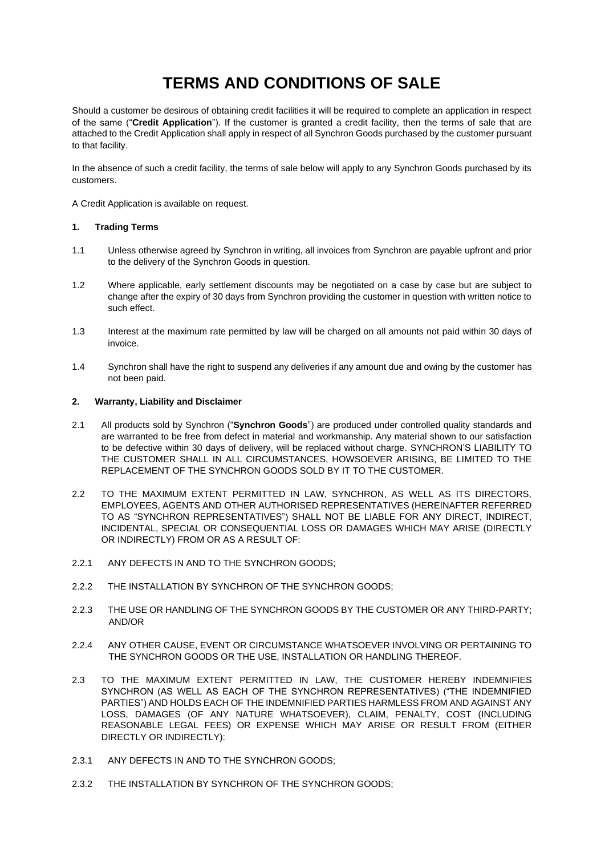# **TERMS AND CONDITIONS OF SALE**

Should a customer be desirous of obtaining credit facilities it will be required to complete an application in respect of the same ("**Credit Application**"). If the customer is granted a credit facility, then the terms of sale that are attached to the Credit Application shall apply in respect of all Synchron Goods purchased by the customer pursuant to that facility.

In the absence of such a credit facility, the terms of sale below will apply to any Synchron Goods purchased by its customers.

A Credit Application is available on request.

## **1. Trading Terms**

- 1.1 Unless otherwise agreed by Synchron in writing, all invoices from Synchron are payable upfront and prior to the delivery of the Synchron Goods in question.
- 1.2 Where applicable, early settlement discounts may be negotiated on a case by case but are subject to change after the expiry of 30 days from Synchron providing the customer in question with written notice to such effect.
- 1.3 Interest at the maximum rate permitted by law will be charged on all amounts not paid within 30 days of invoice.
- 1.4 Synchron shall have the right to suspend any deliveries if any amount due and owing by the customer has not been paid.

#### **2. Warranty, Liability and Disclaimer**

- 2.1 All products sold by Synchron ("**Synchron Goods**") are produced under controlled quality standards and are warranted to be free from defect in material and workmanship. Any material shown to our satisfaction to be defective within 30 days of delivery, will be replaced without charge. SYNCHRON'S LIABILITY TO THE CUSTOMER SHALL IN ALL CIRCUMSTANCES, HOWSOEVER ARISING, BE LIMITED TO THE REPLACEMENT OF THE SYNCHRON GOODS SOLD BY IT TO THE CUSTOMER.
- 2.2 TO THE MAXIMUM EXTENT PERMITTED IN LAW, SYNCHRON, AS WELL AS ITS DIRECTORS, EMPLOYEES, AGENTS AND OTHER AUTHORISED REPRESENTATIVES (HEREINAFTER REFERRED TO AS "SYNCHRON REPRESENTATIVES") SHALL NOT BE LIABLE FOR ANY DIRECT, INDIRECT, INCIDENTAL, SPECIAL OR CONSEQUENTIAL LOSS OR DAMAGES WHICH MAY ARISE (DIRECTLY OR INDIRECTLY) FROM OR AS A RESULT OF:
- 2.2.1 ANY DEFECTS IN AND TO THE SYNCHRON GOODS;
- 2.2.2 THE INSTALLATION BY SYNCHRON OF THE SYNCHRON GOODS;
- 2.2.3 THE USE OR HANDLING OF THE SYNCHRON GOODS BY THE CUSTOMER OR ANY THIRD-PARTY; AND/OR
- 2.2.4 ANY OTHER CAUSE, EVENT OR CIRCUMSTANCE WHATSOEVER INVOLVING OR PERTAINING TO THE SYNCHRON GOODS OR THE USE, INSTALLATION OR HANDLING THEREOF.
- 2.3 TO THE MAXIMUM EXTENT PERMITTED IN LAW, THE CUSTOMER HEREBY INDEMNIFIES SYNCHRON (AS WELL AS EACH OF THE SYNCHRON REPRESENTATIVES) ("THE INDEMNIFIED PARTIES") AND HOLDS EACH OF THE INDEMNIFIED PARTIES HARMLESS FROM AND AGAINST ANY LOSS, DAMAGES (OF ANY NATURE WHATSOEVER), CLAIM, PENALTY, COST (INCLUDING REASONABLE LEGAL FEES) OR EXPENSE WHICH MAY ARISE OR RESULT FROM (EITHER DIRECTLY OR INDIRECTLY):
- 2.3.1 ANY DEFECTS IN AND TO THE SYNCHRON GOODS;
- 2.3.2 THE INSTALLATION BY SYNCHRON OF THE SYNCHRON GOODS;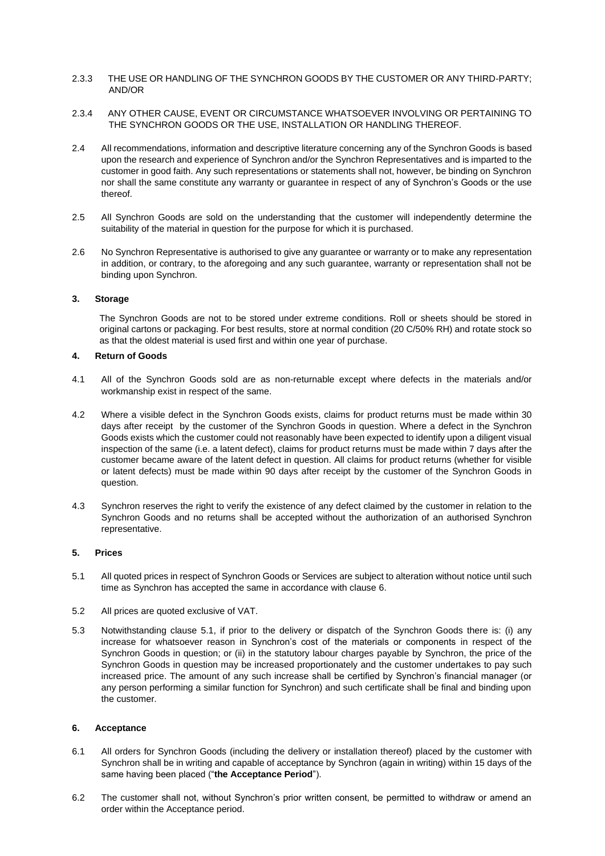- 2.3.3 THE USE OR HANDLING OF THE SYNCHRON GOODS BY THE CUSTOMER OR ANY THIRD-PARTY; AND/OR
- 2.3.4 ANY OTHER CAUSE, EVENT OR CIRCUMSTANCE WHATSOEVER INVOLVING OR PERTAINING TO THE SYNCHRON GOODS OR THE USE, INSTALLATION OR HANDLING THEREOF.
- 2.4 All recommendations, information and descriptive literature concerning any of the Synchron Goods is based upon the research and experience of Synchron and/or the Synchron Representatives and is imparted to the customer in good faith. Any such representations or statements shall not, however, be binding on Synchron nor shall the same constitute any warranty or guarantee in respect of any of Synchron's Goods or the use thereof.
- 2.5 All Synchron Goods are sold on the understanding that the customer will independently determine the suitability of the material in question for the purpose for which it is purchased.
- 2.6 No Synchron Representative is authorised to give any guarantee or warranty or to make any representation in addition, or contrary, to the aforegoing and any such guarantee, warranty or representation shall not be binding upon Synchron.

## **3. Storage**

The Synchron Goods are not to be stored under extreme conditions. Roll or sheets should be stored in original cartons or packaging. For best results, store at normal condition (20 C/50% RH) and rotate stock so as that the oldest material is used first and within one year of purchase.

#### **4. Return of Goods**

- 4.1 All of the Synchron Goods sold are as non-returnable except where defects in the materials and/or workmanship exist in respect of the same.
- 4.2 Where a visible defect in the Synchron Goods exists, claims for product returns must be made within 30 days after receipt by the customer of the Synchron Goods in question. Where a defect in the Synchron Goods exists which the customer could not reasonably have been expected to identify upon a diligent visual inspection of the same (i.e. a latent defect), claims for product returns must be made within 7 days after the customer became aware of the latent defect in question. All claims for product returns (whether for visible or latent defects) must be made within 90 days after receipt by the customer of the Synchron Goods in question.
- 4.3 Synchron reserves the right to verify the existence of any defect claimed by the customer in relation to the Synchron Goods and no returns shall be accepted without the authorization of an authorised Synchron representative.

# **5. Prices**

- 5.1 All quoted prices in respect of Synchron Goods or Services are subject to alteration without notice until such time as Synchron has accepted the same in accordance with clause 6.
- 5.2 All prices are quoted exclusive of VAT.
- 5.3 Notwithstanding clause 5.1, if prior to the delivery or dispatch of the Synchron Goods there is: (i) any increase for whatsoever reason in Synchron's cost of the materials or components in respect of the Synchron Goods in question; or (ii) in the statutory labour charges payable by Synchron, the price of the Synchron Goods in question may be increased proportionately and the customer undertakes to pay such increased price. The amount of any such increase shall be certified by Synchron's financial manager (or any person performing a similar function for Synchron) and such certificate shall be final and binding upon the customer.

## **6. Acceptance**

- 6.1 All orders for Synchron Goods (including the delivery or installation thereof) placed by the customer with Synchron shall be in writing and capable of acceptance by Synchron (again in writing) within 15 days of the same having been placed ("**the Acceptance Period**").
- 6.2 The customer shall not, without Synchron's prior written consent, be permitted to withdraw or amend an order within the Acceptance period.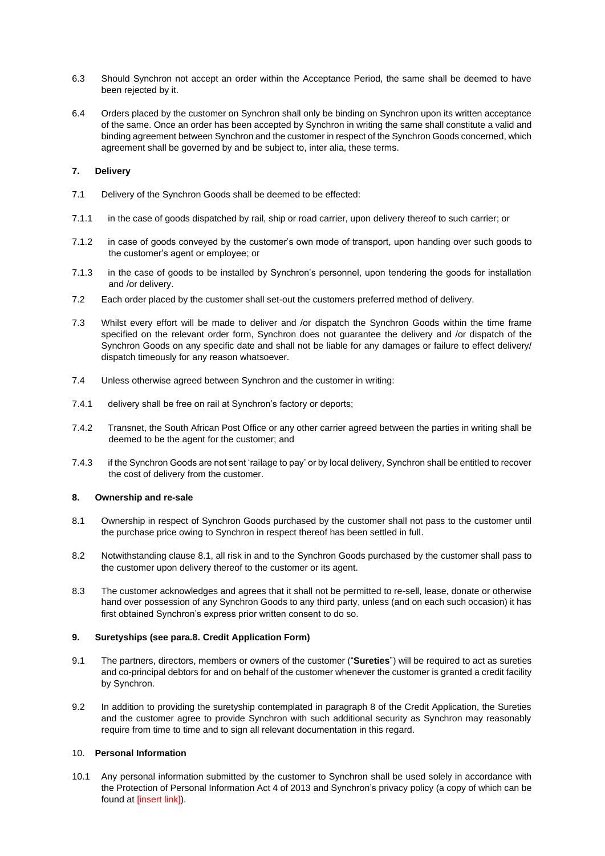- 6.3 Should Synchron not accept an order within the Acceptance Period, the same shall be deemed to have been rejected by it.
- 6.4 Orders placed by the customer on Synchron shall only be binding on Synchron upon its written acceptance of the same. Once an order has been accepted by Synchron in writing the same shall constitute a valid and binding agreement between Synchron and the customer in respect of the Synchron Goods concerned, which agreement shall be governed by and be subject to, inter alia, these terms.

# **7. Delivery**

- 7.1 Delivery of the Synchron Goods shall be deemed to be effected:
- 7.1.1 in the case of goods dispatched by rail, ship or road carrier, upon delivery thereof to such carrier; or
- 7.1.2 in case of goods conveyed by the customer's own mode of transport, upon handing over such goods to the customer's agent or employee; or
- 7.1.3 in the case of goods to be installed by Synchron's personnel, upon tendering the goods for installation and /or delivery.
- 7.2 Each order placed by the customer shall set-out the customers preferred method of delivery.
- 7.3 Whilst every effort will be made to deliver and /or dispatch the Synchron Goods within the time frame specified on the relevant order form, Synchron does not guarantee the delivery and /or dispatch of the Synchron Goods on any specific date and shall not be liable for any damages or failure to effect delivery/ dispatch timeously for any reason whatsoever.
- 7.4 Unless otherwise agreed between Synchron and the customer in writing:
- 7.4.1 delivery shall be free on rail at Synchron's factory or deports;
- 7.4.2 Transnet, the South African Post Office or any other carrier agreed between the parties in writing shall be deemed to be the agent for the customer; and
- 7.4.3 if the Synchron Goods are not sent 'railage to pay' or by local delivery, Synchron shall be entitled to recover the cost of delivery from the customer.

#### **8. Ownership and re-sale**

- 8.1 Ownership in respect of Synchron Goods purchased by the customer shall not pass to the customer until the purchase price owing to Synchron in respect thereof has been settled in full.
- 8.2 Notwithstanding clause 8.1, all risk in and to the Synchron Goods purchased by the customer shall pass to the customer upon delivery thereof to the customer or its agent.
- 8.3 The customer acknowledges and agrees that it shall not be permitted to re-sell, lease, donate or otherwise hand over possession of any Synchron Goods to any third party, unless (and on each such occasion) it has first obtained Synchron's express prior written consent to do so.

#### **9. Suretyships (see para.8. Credit Application Form)**

- 9.1 The partners, directors, members or owners of the customer ("**Sureties**") will be required to act as sureties and co-principal debtors for and on behalf of the customer whenever the customer is granted a credit facility by Synchron.
- 9.2 In addition to providing the suretyship contemplated in paragraph 8 of the Credit Application, the Sureties and the customer agree to provide Synchron with such additional security as Synchron may reasonably require from time to time and to sign all relevant documentation in this regard.

## 10. **Personal Information**

10.1 Any personal information submitted by the customer to Synchron shall be used solely in accordance with the Protection of Personal Information Act 4 of 2013 and Synchron's privacy policy (a copy of which can be found at *linsert* link]).